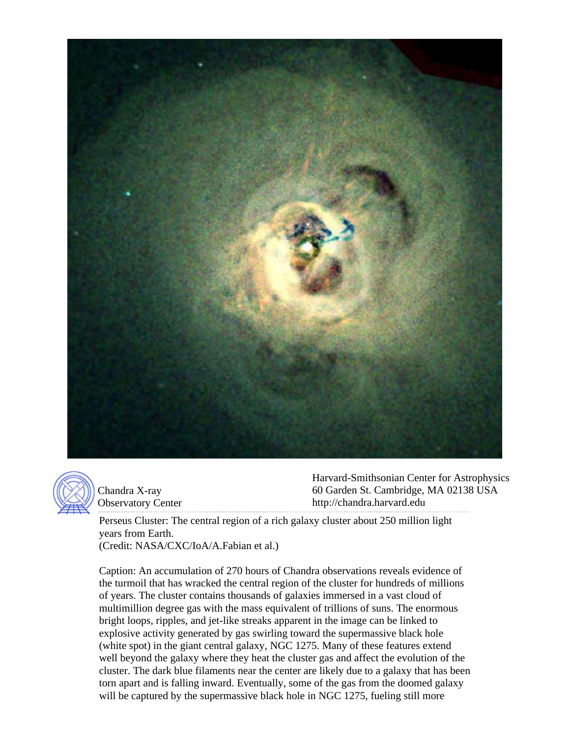



Chandra X-ray Observatory Center Harvard-Smithsonian Center for Astrophysics 60 Garden St. Cambridge, MA 02138 USA http://chandra.harvard.edu

Perseus Cluster: The central region of a rich galaxy cluster about 250 million light years from Earth.

(Credit: NASA/CXC/IoA/A.Fabian et al.)

Caption: An accumulation of 270 hours of Chandra observations reveals evidence of the turmoil that has wracked the central region of the cluster for hundreds of millions of years. The cluster contains thousands of galaxies immersed in a vast cloud of multimillion degree gas with the mass equivalent of trillions of suns. The enormous bright loops, ripples, and jet-like streaks apparent in the image can be linked to explosive activity generated by gas swirling toward the supermassive black hole (white spot) in the giant central galaxy, NGC 1275. Many of these features extend well beyond the galaxy where they heat the cluster gas and affect the evolution of the cluster. The dark blue filaments near the center are likely due to a galaxy that has been torn apart and is falling inward. Eventually, some of the gas from the doomed galaxy will be captured by the supermassive black hole in NGC 1275, fueling still more